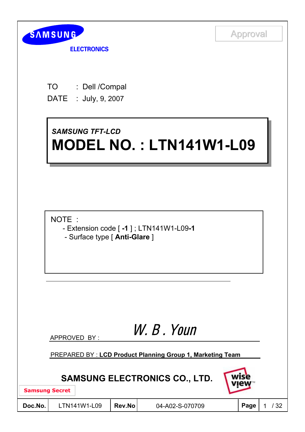

**ELECTRONICS** 

TO : Dell /Compal DATE : July, 9, 2007

## *SAMSUNG TFT-LCD SAMSUNG TFT-LCD* **MODEL NO. : LTN141W1-L09 MODEL NO. : LTN141W1-L09**

NOTE :

- Extension code [ **-1** ] ; LTN141W1-L09**-1**
- Surface type [ **Anti-Glare** ]

# W. B . Youn

APPROVED BY :

PREPARED BY : **LCD Product Planning Group 1, Marketing Team**

## **SAMSUNG ELECTRONICS CO., LTD.**

**Samsung Secret**

| Doc.No. |
|---------|
|         |

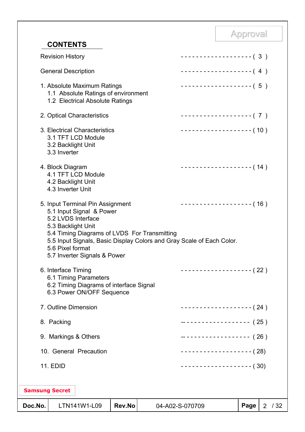| <b>CONTENTS</b>                                                                                                                                                                                                                                                                       |        |                 |                          | the property of the control |                |      |
|---------------------------------------------------------------------------------------------------------------------------------------------------------------------------------------------------------------------------------------------------------------------------------------|--------|-----------------|--------------------------|-----------------------------|----------------|------|
| <b>Revision History</b>                                                                                                                                                                                                                                                               |        |                 | -------------------- (3) |                             |                |      |
| <b>General Description</b>                                                                                                                                                                                                                                                            |        |                 | $------------(4)$        |                             |                |      |
| 1. Absolute Maximum Ratings<br>1.1 Absolute Ratings of environment<br>1.2 Electrical Absolute Ratings                                                                                                                                                                                 |        |                 | ------------------- (5)  |                             |                |      |
| 2. Optical Characteristics                                                                                                                                                                                                                                                            |        |                 | ------------------- (7)  |                             |                |      |
| 3. Electrical Characteristics<br>3.1 TFT LCD Module<br>3.2 Backlight Unit<br>3.3 Inverter                                                                                                                                                                                             |        |                 | ------------------- (10) |                             |                |      |
| 4. Block Diagram<br>4.1 TFT LCD Module<br>4.2 Backlight Unit<br>4.3 Inverter Unit                                                                                                                                                                                                     |        |                 | ------------------- (14) |                             |                |      |
| 5. Input Terminal Pin Assignment<br>5.1 Input Signal & Power<br>5.2 LVDS Interface<br>5.3 Backlight Unit<br>5.4 Timing Diagrams of LVDS For Transmitting<br>5.5 Input Signals, Basic Display Colors and Gray Scale of Each Color.<br>5.6 Pixel format<br>5.7 Inverter Signals & Power |        |                 | ------------------- (16) |                             |                |      |
| 6. Interface Timing<br>6.1 Timing Parameters<br>6.2 Timing Diagrams of interface Signal<br>6.3 Power ON/OFF Sequence                                                                                                                                                                  |        |                 | ------------------ (22)  |                             |                |      |
| 7. Outline Dimension                                                                                                                                                                                                                                                                  |        |                 | ------------------- (24) |                             |                |      |
| 8. Packing                                                                                                                                                                                                                                                                            |        |                 | ------------------- (25) |                             |                |      |
| 9. Markings & Others                                                                                                                                                                                                                                                                  |        |                 | ------------------- (26) |                             |                |      |
| 10. General Precaution                                                                                                                                                                                                                                                                |        |                 | ------------------- (28) |                             |                |      |
| <b>11. EDID</b>                                                                                                                                                                                                                                                                       |        |                 | ------------------- (30) |                             |                |      |
| <b>Samsung Secret</b>                                                                                                                                                                                                                                                                 |        |                 |                          |                             |                |      |
| Doc.No.<br>LTN141W1-L09                                                                                                                                                                                                                                                               | Rev.No | 04-A02-S-070709 |                          | Page                        | $\overline{2}$ | / 32 |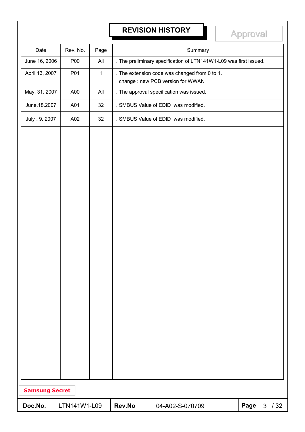# **REVISION HISTORY Approval**

| Date                  | Rev. No.     | Page         |        | Summary                                                                            |      |        |
|-----------------------|--------------|--------------|--------|------------------------------------------------------------------------------------|------|--------|
| June 16, 2006         | P00          | All          |        | . The preliminary specification of LTN141W1-L09 was first issued.                  |      |        |
| April 13, 2007        | P01          | $\mathbf{1}$ |        | . The extension code was changed from 0 to 1.<br>change : new PCB version for WWAN |      |        |
| May. 31. 2007         | A00          | All          |        | . The approval specification was issued.                                           |      |        |
| June.18.2007          | A01          | 32           |        | . SMBUS Value of EDID was modified.                                                |      |        |
| July . 9. 2007        | A02          | 32           |        | . SMBUS Value of EDID was modified.                                                |      |        |
|                       |              |              |        |                                                                                    |      |        |
| <b>Samsung Secret</b> |              |              |        |                                                                                    |      |        |
| Doc.No.               | LTN141W1-L09 |              | Rev.No | 04-A02-S-070709                                                                    | Page | $3/32$ |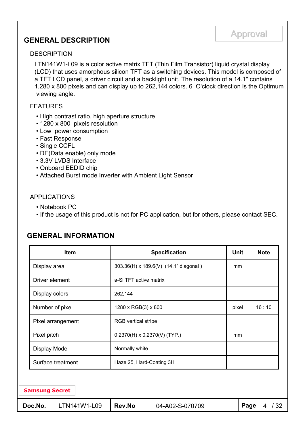# Approval Approval **GENERAL DESCRIPTION**

#### **DESCRIPTION**

LTN141W1-L09 is a color active matrix TFT (Thin Film Transistor) liquid crystal display (LCD) that uses amorphous silicon TFT as a switching devices. This model is composed of a TFT LCD panel, a driver circuit and a backlight unit. The resolution of a 14.1" contains 1,280 x 800 pixels and can display up to 262,144 colors. 6 O'clock direction is the Optimum viewing angle.

#### FEATURES

- High contrast ratio, high aperture structure
- 1280 x 800 pixels resolution
- Low power consumption
- Fast Response
- Single CCFL
- DE(Data enable) only mode
- 3.3V LVDS Interface
- Onboard EEDID chip
- Attached Burst mode Inverter with Ambient Light Sensor

#### APPLICATIONS

- Notebook PC
- If the usage of this product is not for PC application, but for others, please contact SEC.

#### **GENERAL INFORMATION**

|                       | <b>Item</b>       | <b>Unit</b>                |                                       | <b>Note</b> |      |          |
|-----------------------|-------------------|----------------------------|---------------------------------------|-------------|------|----------|
| Display area          |                   |                            | 303.36(H) x 189.6(V) (14.1" diagonal) | mm          |      |          |
|                       | Driver element    |                            | a-Si TFT active matrix                |             |      |          |
|                       | Display colors    | 262,144                    |                                       |             |      |          |
|                       | Number of pixel   |                            | 1280 x RGB(3) x 800                   | pixel       |      | 16:10    |
|                       | Pixel arrangement | <b>RGB</b> vertical stripe |                                       |             |      |          |
| Pixel pitch           |                   |                            | $0.2370(H) \times 0.2370(V)$ (TYP.)   | mm          |      |          |
|                       | Display Mode      | Normally white             |                                       |             |      |          |
|                       | Surface treatment |                            | Haze 25, Hard-Coating 3H              |             |      |          |
|                       |                   |                            |                                       |             |      |          |
| <b>Samsung Secret</b> |                   |                            |                                       |             |      |          |
| Doc.No.               | LTN141W1-L09      | Rev.No                     | 04-A02-S-070709                       |             | Page | /32<br>4 |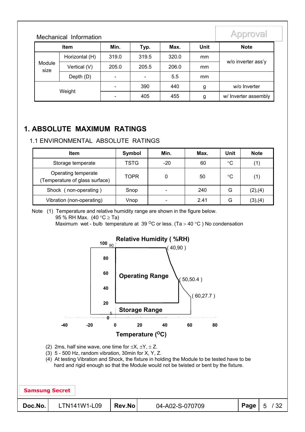| <b>Item</b>    |              | Min.                     | Typ.           | Max.  | <b>Unit</b> | <b>Note</b>          |  |
|----------------|--------------|--------------------------|----------------|-------|-------------|----------------------|--|
| Horizontal (H) |              | 319.0                    | 319.5          | 320.0 | mm          |                      |  |
| Module<br>size | Vertical (V) | 205.0                    | 205.5          | 206.0 | mm          | w/o inverter ass'y   |  |
|                | Depth (D)    | $\overline{\phantom{0}}$ | $\blacksquare$ | 5.5   | mm          |                      |  |
|                |              |                          | 390            | 440   | g           | w/o Inverter         |  |
|                | Weight       |                          | 405            | 455   | g           | w/ Inverter assembly |  |

### **1. ABSOLUTE MAXIMUM RATINGS**

Mechanical Information

#### 1.1 ENVIRONMENTAL ABSOLUTE RATINGS

| <b>Item</b>                                          | Symbol      | Min.  | Max. | Unit | <b>Note</b> |
|------------------------------------------------------|-------------|-------|------|------|-------------|
| Storage temperate                                    | <b>TSTG</b> | $-20$ | 60   | °C   |             |
| Operating temperate<br>Temperature of glass surface) | <b>TOPR</b> |       | 50   | °C   |             |
| Shock (non-operating)                                | Snop        | -     | 240  | G    | (2),(4)     |
| Vibration (non-operating)                            | Vnop        | -     | 2.41 | G    | (3),(4)     |

Note (1) Temperature and relative humidity range are shown in the figure below.

95 % RH Max.  $(40 \degree C \geq Ta)$ 

Maximum wet - bulb temperature at 39  $\mathrm{^{\circ}C}$  or less. (Ta > 40  $\mathrm{^{\circ}C}$ ) No condensation

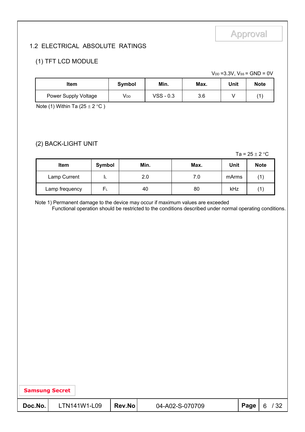#### 1.2 ELECTRICAL ABSOLUTE RATINGS

#### (1) TFT LCD MODULE

 $V_{DD} = 3.3V$ ,  $V_{SS} = GND = 0V$ 

| ltem                 | Symbol | Min.      | Max. | Unit | <b>Note</b> |
|----------------------|--------|-----------|------|------|-------------|
| Power Supply Voltage | Vdd    | VSS - 0.3 | 3.6  |      | 11          |

Note (1) Within Ta  $(25 \pm 2 \degree C)$ 

#### (2) BACK-LIGHT UNIT

Ta =  $25 \pm 2$  °C

| <b>Item</b>    | Symbol | Min. | Max. | Unit  | <b>Note</b> |
|----------------|--------|------|------|-------|-------------|
| Lamp Current   |        | 2.0  | 7.0  | mArms |             |
| Lamp frequency | FΓ     | 40   | 80   | kHz   |             |

Note 1) Permanent damage to the device may occur if maximum values are exceeded

Functional operation should be restricted to the conditions described under normal operating conditions.

| <b>Samsung Secret</b> |  |
|-----------------------|--|
|-----------------------|--|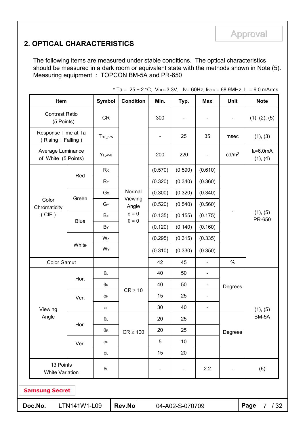### **2. OPTICAL CHARACTERISTICS**

The following items are measured under stable conditions. The optical characteristics should be measured in a dark room or equivalent state with the methods shown in Note (5). Measuring equipment : TOPCON BM-5A and PR-650

| Item                                              |              | Symbol      | <b>Condition</b> |                          | Min.                     | Typ.    | <b>Max</b>               | <b>Unit</b>                  |                    | <b>Note</b>           |
|---------------------------------------------------|--------------|-------------|------------------|--------------------------|--------------------------|---------|--------------------------|------------------------------|--------------------|-----------------------|
| <b>Contrast Ratio</b><br>(5 Points)               |              | <b>CR</b>   |                  |                          | 300                      |         | $\overline{\phantom{a}}$ | $\qquad \qquad \blacksquare$ |                    | (1), (2), (5)         |
| Response Time at Ta<br>(Rising + Falling)         |              | TRT_B/W     |                  |                          | $\overline{\phantom{a}}$ | 25      | 35                       | msec                         |                    | (1), (3)              |
| Average Luminance<br>of White (5 Points)          |              | $Y_{L,AVE}$ |                  |                          | 200                      | 220     | $\overline{\phantom{a}}$ | cd/m <sup>2</sup>            |                    | $L=6.0mA$<br>(1), (4) |
|                                                   |              | Rx          |                  |                          | (0.570)                  | (0.590) | (0.610)                  |                              |                    |                       |
|                                                   | Red          | $R_Y$       |                  |                          | (0.320)                  | (0.340) | (0.360)                  |                              |                    |                       |
|                                                   |              | $G_{X}$     |                  | Normal<br>(0.300)        |                          | (0.320) | (0.340)                  |                              |                    |                       |
| Color<br>Chromaticity                             | Green        | $G_Y$       | Viewing<br>Angle |                          | (0.520)                  | (0.540) | (0.560)                  |                              |                    |                       |
| (CIE)                                             |              | Bx          | $\phi=0$         | (0.135)                  | (0.155)                  | (0.175) | $\blacksquare$           |                              | (1), (5)<br>PR-650 |                       |
|                                                   | <b>Blue</b>  | $B_Y$       |                  | $\theta = 0$             |                          | (0.140) | (0.160)                  |                              |                    |                       |
|                                                   |              | Wx          |                  |                          | (0.295)                  | (0.315) | (0.335)                  |                              |                    |                       |
|                                                   | White        | WY          |                  |                          | (0.310)                  | (0.330) | (0.350)                  |                              |                    |                       |
| <b>Color Gamut</b>                                |              |             |                  |                          | 42                       | 45      | $\blacksquare$           | $\%$                         |                    |                       |
|                                                   | Hor.         | $\theta$ L  |                  |                          | 40                       | 50      | $\overline{\phantom{0}}$ | Degrees                      |                    |                       |
|                                                   |              | $\theta$ R  | $CR \geq 10$     |                          | 40                       | 50      | $\overline{\phantom{a}}$ |                              |                    |                       |
|                                                   | Ver.         | φн          |                  |                          | 15                       | 25      | $\blacksquare$           |                              |                    |                       |
| Viewing                                           |              | φL          |                  |                          | 30                       | 40      | $\overline{\phantom{a}}$ |                              |                    | (1), (5)              |
| Angle                                             |              | $\theta$    |                  |                          | 20                       | 25      |                          |                              |                    | BM-5A                 |
|                                                   | Hor.         | $\theta$ R  | $CR \geq 100$    |                          | 20                       | 25      |                          | Degrees                      |                    |                       |
|                                                   | Ver.         | φн          |                  |                          | 5                        | 10      |                          |                              |                    |                       |
|                                                   |              | φL          |                  |                          | 15                       | 20      |                          |                              |                    |                       |
| 13 Points<br>$\delta L$<br><b>White Variation</b> |              |             |                  | $\overline{\phantom{0}}$ |                          | 2.2     |                          |                              | (6)                |                       |
| <b>Samsung Secret</b>                             |              |             |                  |                          |                          |         |                          |                              |                    |                       |
| Doc.No.                                           | LTN141W1-L09 | Rev.No      |                  |                          | 04-A02-S-070709          |         |                          | Page                         | /32<br>$7^{\circ}$ |                       |

\* Ta =  $25 \pm 2$  °C, VDD=3.3V, fv= 60Hz, fDCLK = 68.9MHz, IL = 6.0 mArms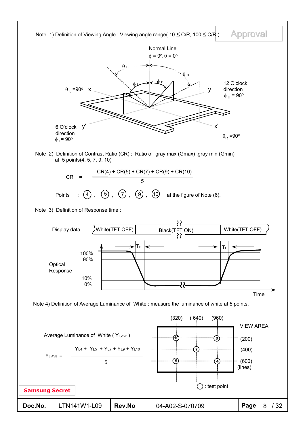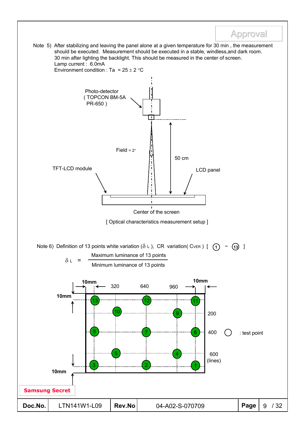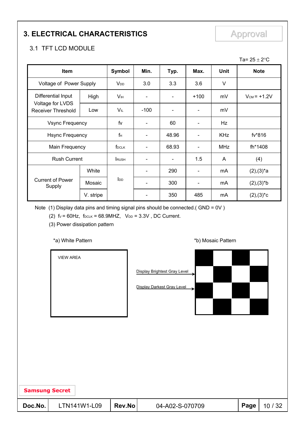### **3. ELECTRICAL CHARACTERISTICS** Approval

### 3.1 TFT LCD MODULE

|                                        |           |                       |                          |                          |                              |             | Ta= $25 \pm 2$ °C  |
|----------------------------------------|-----------|-----------------------|--------------------------|--------------------------|------------------------------|-------------|--------------------|
| Item                                   |           | <b>Symbol</b>         | Min.                     | Typ.                     | Max.                         | <b>Unit</b> | <b>Note</b>        |
| Voltage of Power Supply                |           | V <sub>DD</sub>       | 3.0                      | 3.3                      | 3.6                          | V           |                    |
| Differential Input                     | High      | <b>V<sub>IH</sub></b> |                          |                          | $+100$                       | mV          | $V_{CM}$ = $+1.2V$ |
| Voltage for LVDS<br>Receiver Threshold | Low       | VIL                   | $-100$                   |                          |                              | mV          |                    |
| <b>Vsync Frequency</b>                 |           | fv                    | $\overline{\phantom{a}}$ | 60                       | $\qquad \qquad \blacksquare$ | Hz          |                    |
| <b>Hsync Frequency</b>                 |           | $f_H$                 |                          | 48.96                    | $\overline{\phantom{a}}$     | <b>KHz</b>  | fv*816             |
| Main Frequency                         |           | f <sub>DCLK</sub>     |                          | 68.93                    | $\overline{\phantom{a}}$     | <b>MHz</b>  | fh*1408            |
| <b>Rush Current</b>                    |           | <b>RUSH</b>           |                          | $\overline{\phantom{a}}$ | 1.5                          | A           | (4)                |
|                                        | White     |                       | $\blacksquare$           | 290                      | $\overline{\phantom{a}}$     | mA          | $(2),(3)^{*}a$     |
| <b>Current of Power</b><br>Supply      | Mosaic    | $I_{DD}$              |                          | 300                      | $\overline{\phantom{a}}$     | mA          | $(2),(3)*b$        |
|                                        | V. stripe |                       |                          | 350                      | 485                          | mA          | $(2),(3)^*c$       |

Note (1) Display data pins and timing signal pins should be connected.( GND = 0V )

(2)  $f_v = 60Hz$ ,  $f_{DCLK} = 68.9MHz$ ,  $V_{DD} = 3.3V$ , DC Current.

(3) Power dissipation pattern

#### \*a) White Pattern **\*b**) Mosaic Pattern **\*b**)

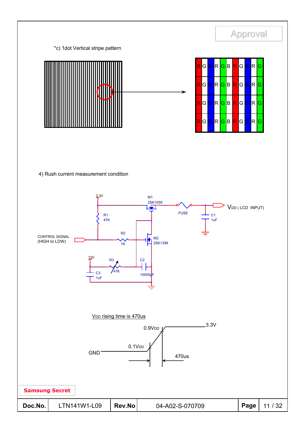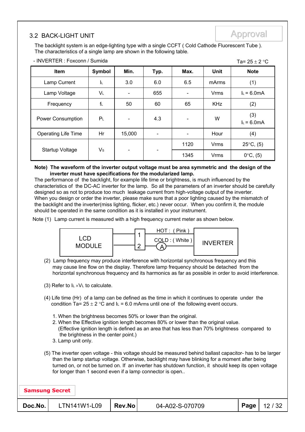### 3.2 BACK-LIGHT UNIT Approval Approval

The backlight system is an edge-lighting type with a single CCFT ( Cold Cathode Fluorescent Tube ). The characteristics of a single lamp are shown in the following table.

| - INVERTER : Foxconn / Sumida<br>Ta= $25 \pm 2$ °C |                |                              |                          |      |             |                      |  |  |  |
|----------------------------------------------------|----------------|------------------------------|--------------------------|------|-------------|----------------------|--|--|--|
| Item                                               | Symbol         | Min.                         | Typ.                     | Max. | Unit        | <b>Note</b>          |  |  |  |
| Lamp Current                                       | ΙL             | 3.0                          | 6.0                      | 6.5  | mArms       | (1)                  |  |  |  |
| Lamp Voltage                                       | VL             |                              | 655                      |      | <b>Vrms</b> | $I_L = 6.0mA$        |  |  |  |
| Frequency                                          | $f_L$          | 50                           | 60                       | 65   | <b>KHz</b>  | (2)                  |  |  |  |
| <b>Power Consumption</b>                           | P <sub>L</sub> | $\qquad \qquad \blacksquare$ | 4.3                      |      | W           | (3)<br>$I_L = 6.0mA$ |  |  |  |
| <b>Operating Life Time</b>                         | Hr             | 15,000                       | $\overline{\phantom{a}}$ |      | Hour        | (4)                  |  |  |  |
| Startup Voltage                                    | $V_{\rm S}$    | $\qquad \qquad \blacksquare$ |                          | 1120 | Vrms        | $25^{\circ}C$ , (5)  |  |  |  |
|                                                    |                |                              |                          | 1345 | <b>Vrms</b> | $0^{\circ}C$ , (5)   |  |  |  |

#### **Note) The waveform of the inverter output voltage must be area symmetric and the design of the inverter must have specifications for the modularized lamp.**

The performance of the backlight, for example life time or brightness, is much influenced by the characteristics of the DC-AC inverter for the lamp. So all the parameters of an inverter should be carefully designed so as not to produce too much leakage current from high-voltage output of the inverter. When you design or order the inverter, please make sure that a poor lighting caused by the mismatch of the backlight and the inverter(miss lighting, flicker, etc.) never occur. When you confirm it, the module should be operated in the same condition as it is installed in your instrument.

Note (1) Lamp current is measured with a high frequency current meter as shown below.



(2) Lamp frequency may produce interference with horizontal synchronous frequency and this may cause line flow on the display. Therefore lamp frequency should be detached from the horizontal synchronous frequency and its harmonics as far as possible in order to avoid interference.

(3) Refer to  $I_L \times V_L$  to calculate.

- (4) Life time (Hr) of a lamp can be defined as the time in which it continues to operate under the condition Ta=  $25 \pm 2$  °C and IL = 6.0 mArms until one of the following event occurs.
	- 1. When the brightness becomes 50% or lower than the original.
	- 2. When the Effective ignition length becomes 80% or lower than the original value. (Effective ignition length is defined as an area that has less than 70% brightness compared to the brightness in the center point.)
	- 3. Lamp unit only.
- (5) The inverter open voltage this voltage should be measured behind ballast capacitor- has to be larger than the lamp startup voltage. Otherwise, backlight may have blinking for a moment after being turned on, or not be turned on. If an inverter has shutdown function, it should keep its open voltage for longer than 1 second even if a lamp connector is open..

| <b>Samsung Secret</b> |              |        |                 |      |       |
|-----------------------|--------------|--------|-----------------|------|-------|
| Doc.No.               | LTN141W1-L09 | Rev.No | 04-A02-S-070709 | Page | 12/32 |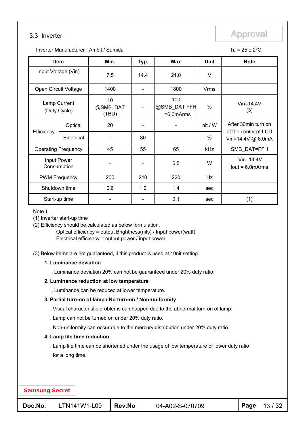### 3.3 Inverter **Approval**

Inverter Manufacturer : Ambit / Sumida  $\overline{a} = 25 \pm 2$ °C

| <b>Item</b>                  |            | Min.                    | Typ. | <b>Max</b>                           | <b>Unit</b> | <b>Note</b>                                  |
|------------------------------|------------|-------------------------|------|--------------------------------------|-------------|----------------------------------------------|
| Input Voltage (Vin)          |            | 7.5                     | 14.4 | 21.0                                 | V           |                                              |
| Open Circuit Voltage         |            | 1400                    |      | 1800                                 | Vrms        |                                              |
| Lamp Current<br>(Duty Cycle) |            | 10<br>@SMB DAT<br>(TBD) |      | 100<br>@SMB_DAT FFH<br>$L=6.0$ mArms | %           | $V$ in=14.4 $V$<br>(3)                       |
|                              | Optical    | 20                      | -    |                                      | nit / W     | After 30 min turn on<br>at the center of LCD |
| Efficiency                   | Electrical |                         | 80   |                                      | %           | Vin=14.4V @ 6.0mA                            |
| <b>Operating Frequency</b>   |            | 45                      | 55   | 65                                   | kHz         | SMB_DAT=FFH                                  |
| Input Power<br>Consumption   |            |                         |      | 6.5                                  | W           | $V$ in=14.4 $V$<br>$lout = 6.0$ m $Arms$     |
| <b>PWM Frequency</b>         |            | 200                     | 210  | 220                                  | Hz          |                                              |
| Shutdown time                |            | 0.6                     | 1.0  | 1.4                                  | sec         |                                              |
| Start-up time                |            |                         |      | 0.1                                  | sec         | (1)                                          |

Note )

(1) Inverter start-up time

(2) Efficiency should be calculated as below formulation.

Optical efficiency = output Brightness(nits) / Input power(watt) Electrical efficiency = output power / input power

(3) Below items are not guaranteed, if this product is used at 10nit setting.

#### **1. Luminance deviation**

. Luminance deviation 20% can not be guaranteed under 20% duty ratio.

#### **2. Luminance reduction at low temperature**

. Luminance can be reduced at lower temperature.

#### **3. Partial turn-on of lamp / No turn-on / Non-uniformity**

. Visual characteristic problems can happen due to the abnormal turn-on of lamp.

. Lamp can not be turned on under 20% duty ratio.

. Non-uniformity can occur due to the mercury distribution under 20% duty ratio.

#### **4. Lamp life time reduction**

. Lamp life time can be shortened under the usage of low temperature or lower duty ratio for a long time.

#### **Samsung Secret**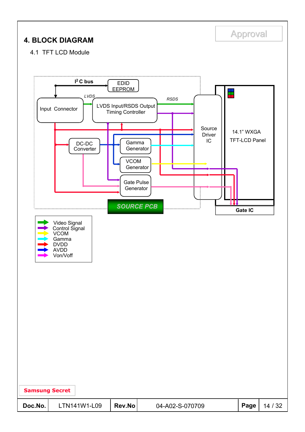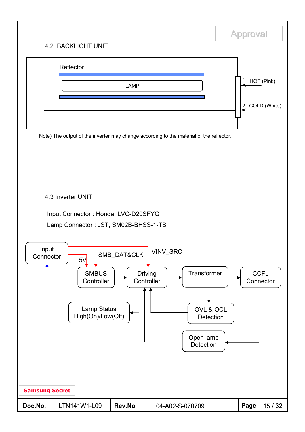### 4.2 BACKLIGHT UNIT



**Approval**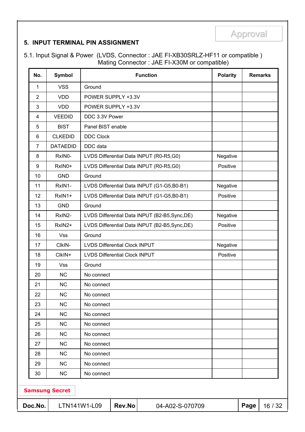#### **5. INPUT TERMINAL PIN ASSIGNMENT**

5.1. Input Signal & Power (LVDS, Connector : JAE FI-XB30SRLZ-HF11 or compatible ) Mating Connector : JAE FI-X30M or compatible)

| No.              | Symbol                |                                         | <b>Function</b>                                | <b>Polarity</b> |      | <b>Remarks</b> |
|------------------|-----------------------|-----------------------------------------|------------------------------------------------|-----------------|------|----------------|
| 1                | <b>VSS</b>            | Ground                                  |                                                |                 |      |                |
| $\overline{2}$   | <b>VDD</b>            |                                         | POWER SUPPLY +3.3V                             |                 |      |                |
| 3                | <b>VDD</b>            |                                         | POWER SUPPLY +3.3V                             |                 |      |                |
| $\overline{4}$   | <b>VEEDID</b>         | DDC 3.3V Power                          |                                                |                 |      |                |
| 5                | <b>BIST</b>           | Panel BIST enable                       |                                                |                 |      |                |
| 6                | <b>CLKEDID</b>        | <b>DDC Clock</b>                        |                                                |                 |      |                |
| $\overline{7}$   | <b>DATAEDID</b>       | DDC data                                |                                                |                 |      |                |
| 8                | RxIN0-                | LVDS Differential Data INPUT (R0-R5,G0) |                                                | Negative        |      |                |
| $\boldsymbol{9}$ | RxIN0+                | LVDS Differential Data INPUT (R0-R5,G0) |                                                | Positive        |      |                |
| 10               | <b>GND</b>            | Ground                                  |                                                |                 |      |                |
| 11               | RxIN1-                |                                         | LVDS Differential Data INPUT (G1-G5,B0-B1)     | Negative        |      |                |
| 12               | RxIN1+                |                                         | LVDS Differential Data INPUT (G1-G5,B0-B1)     | Positive        |      |                |
| 13               | <b>GND</b>            | Ground                                  |                                                |                 |      |                |
| 14               | RxIN2-                |                                         | LVDS Differential Data INPUT (B2-B5, Sync, DE) |                 |      |                |
| 15               | RxIN2+                |                                         | LVDS Differential Data INPUT (B2-B5, Sync, DE) | Positive        |      |                |
| 16               | <b>Vss</b>            | Ground                                  |                                                |                 |      |                |
| 17               | CIkIN-                | <b>LVDS Differential Clock INPUT</b>    |                                                | Negative        |      |                |
| 18               | CIkIN+                | <b>LVDS Differential Clock INPUT</b>    |                                                | Positive        |      |                |
| 19               | <b>Vss</b>            | Ground                                  |                                                |                 |      |                |
| 20               | <b>NC</b>             | No connect                              |                                                |                 |      |                |
| 21               | NC                    | No connect                              |                                                |                 |      |                |
| 22               | NC                    | No connect                              |                                                |                 |      |                |
| 23               | NC                    | No connect                              |                                                |                 |      |                |
| 24               | NC                    | No connect                              |                                                |                 |      |                |
| 25               | NC                    | No connect                              |                                                |                 |      |                |
| 26               | NC                    | No connect                              |                                                |                 |      |                |
| 27               | NC                    | No connect                              |                                                |                 |      |                |
| 28               | NC                    | No connect                              |                                                |                 |      |                |
| 29               | NC                    | No connect                              |                                                |                 |      |                |
| 30               | <b>NC</b>             | No connect                              |                                                |                 |      |                |
|                  | <b>Samsung Secret</b> |                                         |                                                |                 |      |                |
| Doc.No.          |                       | Rev.No<br>LTN141W1-L09                  | 04-A02-S-070709                                |                 | Page | 16 / 32        |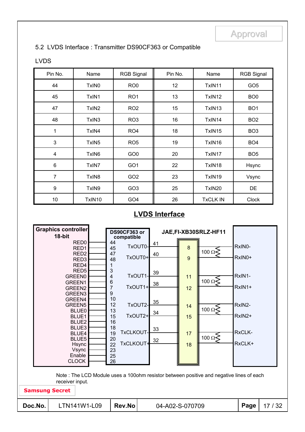#### 5.2 LVDS Interface : Transmitter DS90CF363 or Compatible

#### LVDS

| Pin No.                 | Name              | <b>RGB Signal</b> | Pin No. | Name            | <b>RGB Signal</b> |
|-------------------------|-------------------|-------------------|---------|-----------------|-------------------|
| 44                      | TxIN <sub>0</sub> | RO <sub>0</sub>   | 12      | TxIN11          | GO <sub>5</sub>   |
| 45                      | TxIN1             | RO <sub>1</sub>   | 13      | TxIN12          | BO <sub>0</sub>   |
| 47                      | TxIN <sub>2</sub> | RO <sub>2</sub>   | 15      | TxIN13          | BO <sub>1</sub>   |
| 48                      | TxIN3             | RO <sub>3</sub>   | 16      | TxIN14          | BO <sub>2</sub>   |
| 1                       | TxIN4             | RO <sub>4</sub>   | 18      | TxIN15          | BO <sub>3</sub>   |
| $\mathfrak{Z}$          | TxIN <sub>5</sub> | RO <sub>5</sub>   | 19      | TxIN16          | BO <sub>4</sub>   |
| $\overline{\mathbf{4}}$ | TxIN6             | GO <sub>0</sub>   | 20      | TxIN17          | BO <sub>5</sub>   |
| 6                       | TxIN7             | GO <sub>1</sub>   | 22      | TxIN18          | Hsync             |
| 7                       | TxIN8             | GO <sub>2</sub>   | 23      | TxIN19          | Vsync             |
| 9                       | TxIN9             | GO <sub>3</sub>   | 25      | TxIN20          | <b>DE</b>         |
| 10                      | TxIN10            | GO <sub>4</sub>   | 26      | <b>TxCLK IN</b> | <b>Clock</b>      |

### **LVDS Interface**

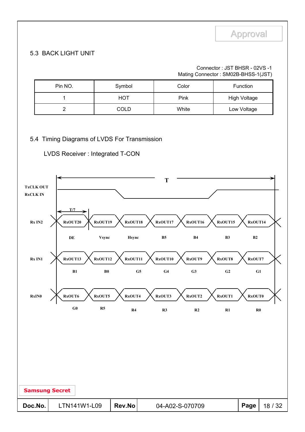#### Connector : JST BHSR - 02VS -1 Mating Connector : SM02B-BHSS-1(JST)

| Pin NO. | Symbol      | Color | <b>Function</b>     |
|---------|-------------|-------|---------------------|
|         | HOT         | Pink  | <b>High Voltage</b> |
|         | <b>COLD</b> | White | Low Voltage         |

#### 5.4 Timing Diagrams of LVDS For Transmission

LVDS Receiver : Integrated T-CON

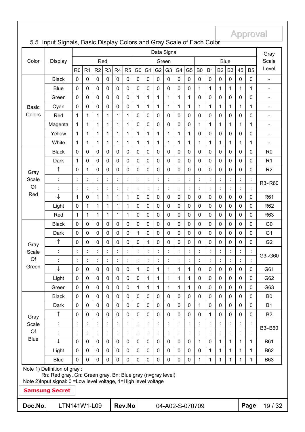#### **Doc.No.** LTN141W1-L09 Rev.No 04-A02-S-070709 Page 19 / 32 **Samsung Secret** Note 1) Definition of gray : Rn: Red gray, Gn: Green gray, Bn: Blue gray (n=gray level) Note 2)Input signal: 0 =Low level voltage, 1=High level voltage B3~B60 : : : : : : : : : : : : : : : : : : : n 0 0 0 0 0 0 0 0 0 0 0 0 0 1 0 0 0 0 B2 Dark 0 0 0 0 0 0 0 0 0 0 0 0 1 0 0 0 0 0 B1 Black 0 0 0 0 0 0 0 0 0 0 0 0 0 0 0 0 0 0 B0 Gray Scale Of Blue p 0 0 0 0 0 0 1 0 1 1 1 1 0 0 0 0 0 0 G61 : : : : : : : : : : : : : : : : : : : G3~G60 : : : : : : : : : : : : : : : : : : : n 0 0 0 0 0 0 0 1 0 0 0 0 0 0 0 0 0 0 G2 Dark 0 0 0 0 0 0 1 0 0 0 0 0 0 0 0 0 0 0 G1 Black 0 0 0 0 0 0 0 0 0 0 0 0 0 0 0 0 0 0 G0 Gray **Scale** Of Green Blue 0 0 0 0 0 0 0 0 0 0 0 0 1 1 1 1 1 1 B63 Light 0 0 0 0 0 0 0 0 0 0 0 0 0 1 1 1 1 1 B62  $\downarrow$  |0|0|0|0|0|0|0|0|0|0|0|0|1|0|1|1|1|1| B61 : : : : : : : : : : : : : : : : : : : Green 0 0 0 0 0 0 1 1 1 1 1 1 0 0 0 0 0 0 G63 Light 0 0 0 0 0 0 0 1 1 1 1 1 0 0 0 0 0 0 G62 Red 1 1 1 1 1 1 0 0 0 0 0 0 0 0 0 0 0 0 R63 Light 0 1 1 1 1 1 0 0 0 0 0 0 0 0 0 0 0 0 R62  $\downarrow$  |1|0|1|1|1|1|0|0|0|0|0|0|0|0|0|0|0|0| R61 : : : : : : : : : : : : : : : : : : :  $R3~R60$ : : : : : : : : : : : : : : : : : : : n 0 1 0 0 0 0 0 0 0 0 0 0 0 0 0 0 0 0 R2 Dark |1|0|0|0|0|0|0|0|0|0|0|0|0|0|0|0|0| R1 Black 0 0 0 0 0 0 0 0 0 0 0 0 0 0 0 0 0 0 R0 Gray Scale Of Red White 1 1 1 1 1 1 1 1 1 1 1 1 1 1 1 1 1 1 - Yellow 1 1 1 1 1 1 1 1 1 1 1 1 0 0 0 0 0 0 - Magenta 1 1 1 1 1 1 0 0 0 0 0 0 1 1 1 1 1 1 - Red 1 1 1 1 1 1 0 0 0 0 0 0 0 0 0 0 0 0 - Cyan 0 0 0 0 0 0 1 1 1 1 1 1 1 1 1 1 1 1 - Green 0 0 0 0 0 0 1 1 1 1 1 1 0 0 0 0 0 0 - Blue 0 0 0 0 0 0 0 0 0 0 0 0 1 1 1 1 1 1 - Black 0 0 0 0 0 0 0 0 0 0 0 0 0 0 0 0 0 0 - Basic Colors R0 | R1 | R2 | R3 | R4 | R5 | G0 | G1 | G2 | G3 | G4 | G5 | B0 | B1 | B2 | B3 | 45 | B5 Red | Green | Blue Gray **Scale** Level Data Signal Color | Display

#### 5.5 Input Signals, Basic Display Colors and Gray Scale of Each Color

**Approval**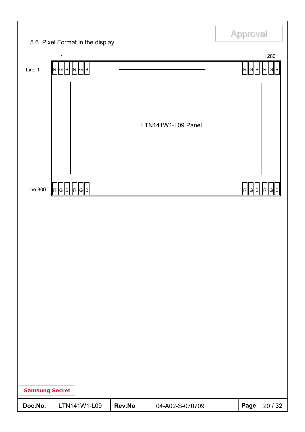|                       |                                                                 |        |                    | <b>Approval</b> |           |
|-----------------------|-----------------------------------------------------------------|--------|--------------------|-----------------|-----------|
|                       | 5.6 Pixel Format in the display<br>1                            |        |                    |                 | 1280      |
| Line 1                | $\mathbf{F}$   G $\mathbf{F}$   G $\mathbf{F}$   G $\mathbf{F}$ |        |                    | R  G  B         | R  G<br>В |
|                       |                                                                 |        | LTN141W1-L09 Panel |                 |           |
| <b>Line 800</b>       | G  B   R  G  B <br><b>IR</b>                                    |        |                    | R<br> G  B      |           |
|                       |                                                                 |        |                    |                 |           |
| <b>Samsung Secret</b> |                                                                 |        |                    |                 |           |
| Doc.No.               | LTN141W1-L09                                                    | Rev.No | 04-A02-S-070709    | Page            | 20 / 32   |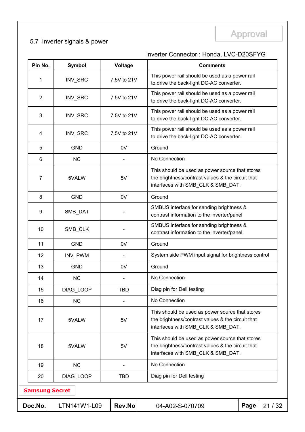# Approval Approval 5.7 Inverter signals & power

### Inverter Connector : Honda, LVC-D20SFYG

| Pin No.               | Symbol       | Voltage     | <b>Comments</b>                                                                                                                            |
|-----------------------|--------------|-------------|--------------------------------------------------------------------------------------------------------------------------------------------|
| 1                     | INV_SRC      | 7.5V to 21V | This power rail should be used as a power rail<br>to drive the back-light DC-AC converter.                                                 |
| $\overline{2}$        | INV_SRC      | 7.5V to 21V | This power rail should be used as a power rail<br>to drive the back-light DC-AC converter.                                                 |
| 3                     | INV_SRC      | 7.5V to 21V | This power rail should be used as a power rail<br>to drive the back-light DC-AC converter.                                                 |
| 4                     | INV_SRC      | 7.5V to 21V | This power rail should be used as a power rail<br>to drive the back-light DC-AC converter.                                                 |
| 5                     | <b>GND</b>   | 0V          | Ground                                                                                                                                     |
| 6                     | <b>NC</b>    |             | No Connection                                                                                                                              |
| 7                     | 5VALW        | 5V          | This should be used as power source that stores<br>the brightness/contrast values & the circuit that<br>interfaces with SMB CLK & SMB DAT. |
| 8                     | <b>GND</b>   | 0V          | Ground                                                                                                                                     |
| 9                     | SMB_DAT      |             | SMBUS interface for sending brightness &<br>contrast information to the inverter/panel                                                     |
| 10                    | SMB_CLK      |             | SMBUS interface for sending brightness &<br>contrast information to the inverter/panel                                                     |
| 11                    | <b>GND</b>   | 0V          | Ground                                                                                                                                     |
| 12                    | INV_PWM      |             | System side PWM input signal for brightness control                                                                                        |
| 13                    | <b>GND</b>   | 0V          | Ground                                                                                                                                     |
| 14                    | <b>NC</b>    |             | No Connection                                                                                                                              |
| 15                    | DIAG_LOOP    | <b>TBD</b>  | Diag pin for Dell testing                                                                                                                  |
| 16                    | <b>NC</b>    |             | No Connection                                                                                                                              |
| 17                    | 5VALW        | 5V          | This should be used as power source that stores<br>the brightness/contrast values & the circuit that<br>interfaces with SMB_CLK & SMB_DAT. |
| 18                    | 5VALW        | 5V          | This should be used as power source that stores<br>the brightness/contrast values & the circuit that<br>interfaces with SMB_CLK & SMB_DAT. |
| 19                    | <b>NC</b>    |             | No Connection                                                                                                                              |
| 20                    | DIAG_LOOP    | <b>TBD</b>  | Diag pin for Dell testing                                                                                                                  |
| <b>Samsung Secret</b> |              |             |                                                                                                                                            |
| Doc.No.               | LTN141W1-L09 | Rev.No      | Page<br>21/32<br>04-A02-S-070709                                                                                                           |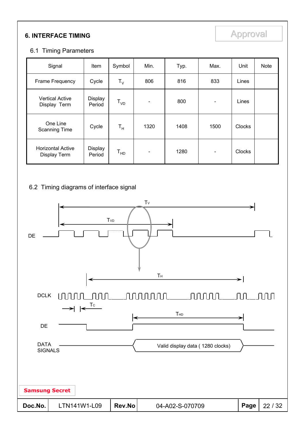## **6. INTERFACE TIMING Approval**

#### 6.1 Timing Parameters

| Signal                                   | Item              | Symbol                  | Min.                     | Typ. | Max.                         | Unit          | Note |
|------------------------------------------|-------------------|-------------------------|--------------------------|------|------------------------------|---------------|------|
| Frame Frequency                          | Cycle             | $T_{V}$                 | 806                      | 816  | 833                          | Lines         |      |
| <b>Vertical Active</b><br>Display Term   | Display<br>Period | $T_{VD}$                | $\overline{\phantom{a}}$ | 800  | $\qquad \qquad \blacksquare$ | Lines         |      |
| One Line<br><b>Scanning Time</b>         | Cycle             | $\mathsf{T}_\mathsf{H}$ | 1320                     | 1408 | 1500                         | <b>Clocks</b> |      |
| <b>Horizontal Active</b><br>Display Term | Display<br>Period | $T_{HD}$                | $\overline{\phantom{0}}$ | 1280 |                              | <b>Clocks</b> |      |

#### 6.2 Timing diagrams of interface signal

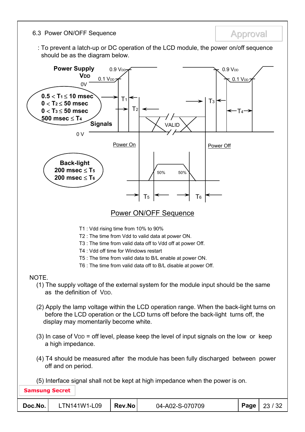6.3 Power ON/OFF Sequence **Approval** 

: To prevent a latch-up or DC operation of the LCD module, the power on/off sequence should be as the diagram below.

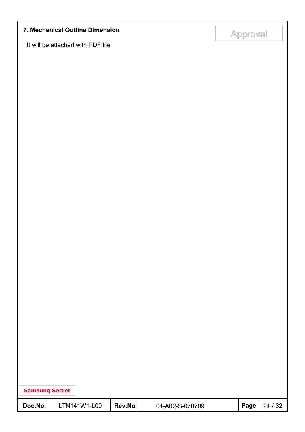# Approval Approval **7. Mechanical Outline Dimension**

It will be attached with PDF file

| <b>Samsung Secret</b> |              |        |                 |      |         |
|-----------------------|--------------|--------|-----------------|------|---------|
| Doc.No.               | LTN141W1-L09 | Rev.No | 04-A02-S-070709 | Page | 24 / 32 |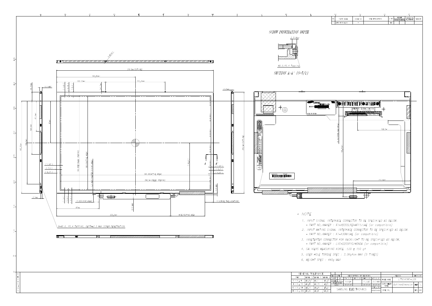

|                       | <b>REV</b>          |                    | DATE             |          | DESCRIPTION OF REVISION |            |              |             | <b>REASON</b>           | CHC'D BY |     |
|-----------------------|---------------------|--------------------|------------------|----------|-------------------------|------------|--------------|-------------|-------------------------|----------|-----|
|                       | UNIT                |                    | mm               | DRA'N BY | DES'D BY                | CHK'D BY   | APP'D BY     | MODEL NAME  | $L$ TN141W1-L09         |          |     |
| $\mathbf{a}^{\prime}$ | SCALE               |                    | '/1              | Y.K.KIM  |                         | Y. J. I FF | D.C.YANG     |             |                         |          |     |
| 3                     |                     |                    | <b>TOLERANCE</b> |          |                         |            |              | PART/SHEET  |                         |          |     |
|                       |                     | LEVEL <sub>2</sub> |                  | 05.07.04 |                         | 05.07.04   | 05.07.04     | <b>NAMF</b> | Outline-Dimension SHEET |          |     |
| 5                     |                     |                    |                  |          |                         |            | SPEC, NO     |             |                         |          |     |
|                       | SAMSUNG FLECTRONICS |                    |                  |          |                         |            |              |             |                         | 'VER.    |     |
| 8                     |                     |                    |                  |          |                         |            | DDS02701-000 | CODE NO.    |                         |          | 000 |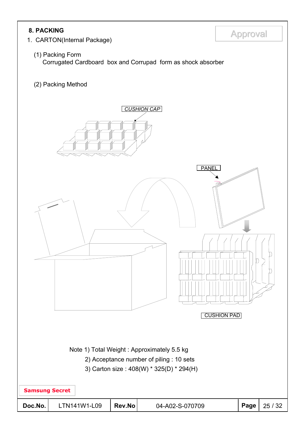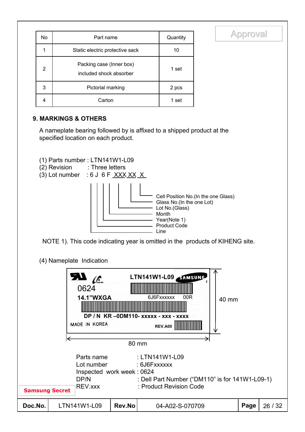| No | Part name                                           | Quantity |
|----|-----------------------------------------------------|----------|
|    | Static electric protective sack                     | 10       |
| 2  | Packing case (Inner box)<br>included shock absorber | 1 set    |
| 3  | Pictorial marking                                   | 2 pcs    |
| 4  | Carton                                              | 1 set    |

#### **9. MARKINGS & OTHERS**

A nameplate bearing followed by is affixed to a shipped product at the specified location on each product.



- (2) Revision : Three letters
- (3) Lot number : 6 J 6 F  $\overline{XXX}$  XX  $\overline{X}$



**Approval** 

NOTE 1). This code indicating year is omitted in the products of KIHENG site.

(4) Nameplate Indication

|                                                                                                                                                                                                                   | <b>SV</b><br><u>ایم</u><br>0624<br><b>14.1"WXGA</b><br>MADE IN KOREA |        | LTN141W1-L09 STMSUNG<br>6J6Fxxxxxx<br>00R<br>40 mm<br>DP / N KR-0DM110- XXXXX - XXX - XXXX<br><b>REV.A00</b> |      |         |  |  |  |
|-------------------------------------------------------------------------------------------------------------------------------------------------------------------------------------------------------------------|----------------------------------------------------------------------|--------|--------------------------------------------------------------------------------------------------------------|------|---------|--|--|--|
|                                                                                                                                                                                                                   |                                                                      |        | 80 mm                                                                                                        |      |         |  |  |  |
| : LTN141W1-L09<br>Parts name<br>Lot number<br>: 6J6Fxxxxxx<br>Inspected work week: 0624<br>: Dell Part Number ("DM110" is for 141W1-L09-1)<br>DP/N<br>: Product Revision Code<br>REV.xxx<br><b>Samsung Secret</b> |                                                                      |        |                                                                                                              |      |         |  |  |  |
| Doc.No.                                                                                                                                                                                                           | LTN141W1-L09                                                         | Rev.No | 04-A02-S-070709                                                                                              | Page | 26 / 32 |  |  |  |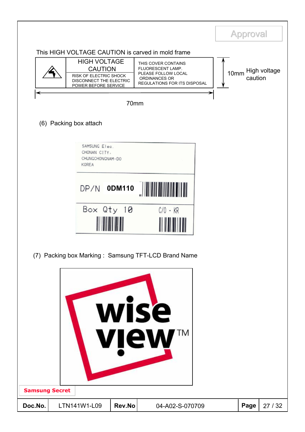|                                  |                                                                                                                                                                         |        |                                                                                                                  | <b>Approval</b> |              |
|----------------------------------|-------------------------------------------------------------------------------------------------------------------------------------------------------------------------|--------|------------------------------------------------------------------------------------------------------------------|-----------------|--------------|
|                                  | This HIGH VOLTAGE CAUTION is carved in mold frame<br><b>HIGH VOLTAGE</b><br><b>CAUTION</b><br>RISK OF ELECTRIC SHOCK<br>DISCONNECT THE ELECTRIC<br>POWER BEFORE SERVICE |        | THIS COVER CONTAINS<br>FLUORESCENT LAMP.<br>PLEASE FOLLOW LOCAL<br>ORDINANCES OR<br>REGULATIONS FOR ITS DISPOSAL | 10mm<br>caution | High voltage |
|                                  |                                                                                                                                                                         | 70mm   |                                                                                                                  |                 |              |
|                                  | (6) Packing box attach                                                                                                                                                  |        |                                                                                                                  |                 |              |
|                                  | SAMSUNG Elec.<br>CHONAN CITY,<br>CHUNGCHONGNAM-DO<br>KOREA                                                                                                              |        |                                                                                                                  |                 |              |
|                                  | DP/N ODM110                                                                                                                                                             |        |                                                                                                                  |                 |              |
|                                  | Box Qty 10                                                                                                                                                              |        | $C/O - KR$                                                                                                       |                 |              |
|                                  |                                                                                                                                                                         |        | (7) Packing box Marking: Samsung TFT-LCD Brand Name                                                              |                 |              |
|                                  |                                                                                                                                                                         |        | wise<br>TΜ<br>view                                                                                               |                 |              |
| <b>Samsung Secret</b><br>Doc.No. | LTN141W1-L09                                                                                                                                                            | Rev.No | 04-A02-S-070709                                                                                                  | Page            | 27/32        |
|                                  |                                                                                                                                                                         |        |                                                                                                                  |                 |              |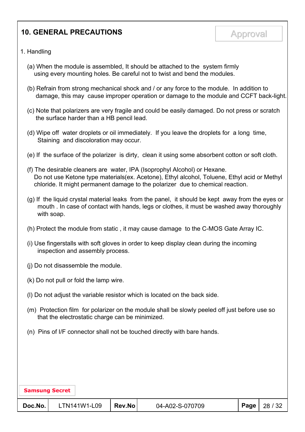### **10. GENERAL PRECAUTIONS** Approval

- 1. Handling
	- (a) When the module is assembled, It should be attached to the system firmly using every mounting holes. Be careful not to twist and bend the modules.
	- (b) Refrain from strong mechanical shock and / or any force to the module. In addition to damage, this may cause improper operation or damage to the module and CCFT back-light.
	- (c) Note that polarizers are very fragile and could be easily damaged. Do not press or scratch the surface harder than a HB pencil lead.
	- (d) Wipe off water droplets or oil immediately. If you leave the droplets for a long time, Staining and discoloration may occur.
	- (e) If the surface of the polarizer is dirty, clean it using some absorbent cotton or soft cloth.
	- (f) The desirable cleaners are water, IPA (Isoprophyl Alcohol) or Hexane. Do not use Ketone type materials(ex. Acetone), Ethyl alcohol, Toluene, Ethyl acid or Methyl chloride. It might permanent damage to the polarizer due to chemical reaction.
	- (g) If the liquid crystal material leaks from the panel, it should be kept away from the eyes or mouth . In case of contact with hands, legs or clothes, it must be washed away thoroughly with soap.
	- (h) Protect the module from static , it may cause damage to the C-MOS Gate Array IC.
	- (i) Use fingerstalls with soft gloves in order to keep display clean during the incoming inspection and assembly process.
	- (j) Do not disassemble the module.
	- (k) Do not pull or fold the lamp wire.
	- (l) Do not adjust the variable resistor which is located on the back side.
	- (m) Protection film for polarizer on the module shall be slowly peeled off just before use so that the electrostatic charge can be minimized.
	- (n) Pins of I/F connector shall not be touched directly with bare hands.

| <b>Samsung Secret</b> |              |        |                 |      |         |  |
|-----------------------|--------------|--------|-----------------|------|---------|--|
| Doc.No.               | LTN141W1-L09 | Rev.No | 04-A02-S-070709 | Page | 28 / 32 |  |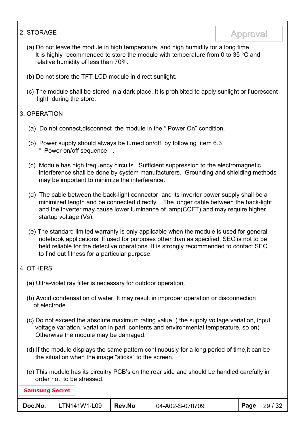### Approval Approval 2. STORAGE

- (a) Do not leave the module in high temperature, and high humidity for a long time. It is highly recommended to store the module with temperature from 0 to 35  $\degree$ C and relative humidity of less than 70%.
- (b) Do not store the TFT-LCD module in direct sunlight.
- (c) The module shall be stored in a dark place. It is prohibited to apply sunlight or fluorescent light during the store.

#### 3. OPERATION

- (a) Do not connect,disconnect the module in the " Power On" condition.
- (b) Power supply should always be turned on/off by following item 6.3 " Power on/off sequence ".
- (c) Module has high frequency circuits. Sufficient suppression to the electromagnetic interference shall be done by system manufacturers. Grounding and shielding methods may be important to minimize the interference.
- (d) The cable between the back-light connector and its inverter power supply shall be a minimized length and be connected directly . The longer cable between the back-light and the inverter may cause lower luminance of lamp(CCFT) and may require higher startup voltage (Vs).
- (e) The standard limited warranty is only applicable when the module is used for general notebook applications. If used for purposes other than as specified, SEC is not to be held reliable for the defective operations. It is strongly recommended to contact SEC to find out fitness for a particular purpose.

#### 4. OTHERS

- (a) Ultra-violet ray filter is necessary for outdoor operation.
- (b) Avoid condensation of water. It may result in improper operation or disconnection of electrode.
- (c) Do not exceed the absolute maximum rating value. ( the supply voltage variation, input voltage variation, variation in part contents and environmental temperature, so on) Otherwise the module may be damaged.
- (d) If the module displays the same pattern continuously for a long period of time,it can be the situation when the image "sticks" to the screen.
- (e) This module has its circuitry PCB's on the rear side and should be handled carefully in order not to be stressed.

| <b>Samsung Secret</b> |              |            |                 |  |                |  |  |
|-----------------------|--------------|------------|-----------------|--|----------------|--|--|
| Doc.No.               | LTN141W1-L09 | $ $ Rev.No | 04-A02-S-070709 |  | Page   29 / 32 |  |  |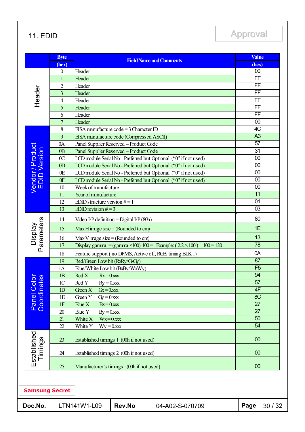11. EDID Approval

|                                         | <b>Byte</b><br>(hex) | <b>Field Name and Comments</b>                           |                 |                                                                             | <b>Value</b><br>(hex)    |                 |  |
|-----------------------------------------|----------------------|----------------------------------------------------------|-----------------|-----------------------------------------------------------------------------|--------------------------|-----------------|--|
|                                         | $\boldsymbol{0}$     | Header                                                   |                 |                                                                             | 00                       |                 |  |
|                                         | $\mathbf{1}$         | Header                                                   |                 |                                                                             | $\overline{\text{FF}}$   |                 |  |
|                                         | $\overline{2}$       | Header                                                   |                 |                                                                             |                          | FF              |  |
| Header                                  | $\overline{3}$       | Header                                                   |                 |                                                                             | $\overline{\mathsf{FF}}$ |                 |  |
|                                         | $\overline{4}$       | Header                                                   |                 |                                                                             | $\overline{FF}$          |                 |  |
|                                         | 5                    | Header                                                   |                 |                                                                             | $\overline{FF}$          |                 |  |
|                                         | 6                    | Header                                                   |                 |                                                                             | $\overline{\mathsf{FF}}$ |                 |  |
|                                         | $\overline{7}$       | Header                                                   |                 |                                                                             | 00                       |                 |  |
|                                         | 8                    | EISA manufacture code = $3$ Character ID                 |                 |                                                                             |                          | 4C              |  |
|                                         | 9                    | EISA manufacture code (Compressed ASCII)                 |                 |                                                                             |                          | A3              |  |
|                                         | 0A                   | Panel Supplier Reserved - Product Code                   |                 |                                                                             |                          | $\overline{57}$ |  |
|                                         | 0 <sub>B</sub>       | Panel Supplier Reserved - Product Code                   |                 |                                                                             | 31                       |                 |  |
|                                         | 0 <sup>C</sup>       |                                                          |                 | LCD module Serial No - Preferred but Optional ("0" if not used)             | 00                       |                 |  |
|                                         | 0 <sub>D</sub>       |                                                          |                 | LCD module Serial No - Preferred but Optional ("0" if not used)             | 00                       |                 |  |
| Vendor / Product<br><b>EDID Version</b> | 0E                   |                                                          |                 | LCD module Serial No - Preferred but Optional ("0" if not used)             | 00                       |                 |  |
|                                         | 0 <sub>F</sub>       |                                                          |                 | LCD module Serial No - Preferred but Optional ("0" if not used)             | $\overline{00}$          |                 |  |
|                                         | 10                   | Week of manufacture                                      |                 |                                                                             | 00                       |                 |  |
|                                         | 11                   | Year of manufacture                                      |                 |                                                                             | 11                       |                 |  |
|                                         | 12                   | EDID structure version $#=1$                             | $\overline{01}$ |                                                                             |                          |                 |  |
|                                         | 13                   | EDID revision $#=3$                                      |                 |                                                                             | 03                       |                 |  |
|                                         | 14                   | Video I/P definition = Digital I/P (80h)                 |                 |                                                                             |                          | 80              |  |
| Parameters<br>Display                   | 15                   | Max H image size = (Rounded to cm)                       |                 |                                                                             | 1E                       |                 |  |
|                                         | 16                   | Max V image size = (Rounded to cm)                       |                 |                                                                             | 13                       |                 |  |
|                                         | 17                   |                                                          |                 | Display gamma = (gamma × 100)-100 = Example: $(2.2 \times 100) - 100 = 120$ | $\overline{78}$          |                 |  |
|                                         | 18                   | Feature support (no DPMS, Active off, RGB, timing BLK 1) |                 |                                                                             | 0A                       |                 |  |
|                                         | 19                   | Red/Green Low bit (RxRy/GxGy)                            |                 |                                                                             | 87                       |                 |  |
|                                         | 1A                   | Blue/White Low bit (BxBy/WxWy)                           |                 |                                                                             | F <sub>5</sub>           |                 |  |
| $\overline{a}$<br>es                    | 1B                   | Red X<br>$Rx = 0, xxx$                                   |                 |                                                                             | 94                       |                 |  |
|                                         | 1 <sup>C</sup>       | Red Y $Ry = 0.$ xxx                                      |                 |                                                                             | $\overline{57}$          |                 |  |
|                                         | 1D                   | Green X<br>$Gx = 0$ .xxx                                 |                 |                                                                             | 4F                       |                 |  |
| Panel Col<br>Coordinat                  | 1E                   | Green Y<br>$Gy = 0$ .xxx                                 |                 |                                                                             | 8 <sup>C</sup>           |                 |  |
|                                         | 1F                   | Blue $X$<br>$Bx = 0$ .xxx                                |                 |                                                                             | 27                       |                 |  |
|                                         | 20                   | Blue Y<br>$By = 0.xxx$                                   |                 |                                                                             | 27                       |                 |  |
|                                         | 21                   | White X<br>$Wx=0.$ xxx                                   |                 |                                                                             | $\overline{50}$          |                 |  |
|                                         | 22                   | White Y<br>$Wy = 0$ .xxx                                 |                 |                                                                             | 54                       |                 |  |
| Established                             | 23                   | Established timings 1 (00h if not used)                  |                 |                                                                             | 00                       |                 |  |
| Timings                                 | 24                   | Established timings 2 (00h if not used)                  |                 |                                                                             | 00                       |                 |  |
|                                         | 25                   | Manufacturer's timings (00h if not used)                 |                 |                                                                             | 00                       |                 |  |
|                                         |                      |                                                          |                 |                                                                             |                          |                 |  |
| <b>Samsung Secret</b>                   |                      |                                                          |                 |                                                                             |                          |                 |  |
| Doc.No.                                 |                      | LTN141W1-L09                                             | Rev.No          | 04-A02-S-070709                                                             | Page                     | 30 / 32         |  |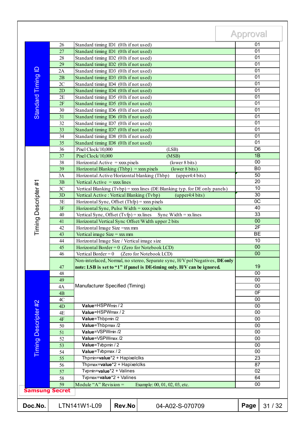|                      |                       |                                                                                                                       |                                                                  |                                                                               | <b>Approval</b>       |       |  |
|----------------------|-----------------------|-----------------------------------------------------------------------------------------------------------------------|------------------------------------------------------------------|-------------------------------------------------------------------------------|-----------------------|-------|--|
|                      | 26                    | Standard timing ID1 (01h if not used)                                                                                 |                                                                  |                                                                               | 01                    |       |  |
|                      | 27                    | Standard timing ID1 (01h if not used)                                                                                 |                                                                  |                                                                               | 01                    |       |  |
|                      | 28                    | Standard timing ID2 (01h if not used)                                                                                 |                                                                  |                                                                               | $\overline{01}$       |       |  |
|                      | 29                    | Standard timing ID2 (01h if not used)                                                                                 |                                                                  |                                                                               | 01                    |       |  |
|                      | 2A                    | Standard timing ID3 (01h if not used)                                                                                 |                                                                  |                                                                               | 01                    |       |  |
| Standard Timing ID   | 2B                    | Standard timing ID3 (01h if not used)                                                                                 |                                                                  |                                                                               | 01                    |       |  |
|                      | 2C                    | Standard timing ID4 (01h if not used)                                                                                 |                                                                  |                                                                               | 01                    |       |  |
|                      | 2D                    | Standard timing ID4 (01h if not used)                                                                                 |                                                                  |                                                                               | 01                    |       |  |
|                      | 2E                    | Standard timing ID5 (01h if not used)                                                                                 |                                                                  |                                                                               | 01                    |       |  |
|                      | 2F                    | Standard timing ID5 (01h if not used)                                                                                 |                                                                  |                                                                               | 01                    |       |  |
|                      | 30                    | Standard timing ID6 (01h if not used)                                                                                 |                                                                  |                                                                               | 01                    |       |  |
|                      | 31                    | Standard timing ID6 (01h if not used)                                                                                 |                                                                  |                                                                               | 01                    |       |  |
|                      | 32                    | Standard timing ID7 (01h if not used)                                                                                 |                                                                  |                                                                               | 01                    |       |  |
|                      | 33                    | Standard timing ID7 (01h if not used)                                                                                 |                                                                  |                                                                               | 01                    |       |  |
|                      | 34                    | Standard timing ID8 (01h if not used)                                                                                 |                                                                  |                                                                               | 01                    |       |  |
|                      | 35                    | Standard timing ID8 (01h if not used)                                                                                 |                                                                  |                                                                               | 01                    |       |  |
|                      | 36                    | Pixel Clock/10,000                                                                                                    |                                                                  | (LSB)                                                                         | D <sub>6</sub>        |       |  |
|                      | 37                    | Pixel Clock/10,000                                                                                                    |                                                                  | (MSB)                                                                         | 1B                    |       |  |
|                      | 38                    |                                                                                                                       |                                                                  |                                                                               | 00                    |       |  |
|                      | 39                    | Horizontal Active = $xxxx$ pixels                                                                                     |                                                                  | (lower 8 bits)                                                                |                       |       |  |
|                      |                       | Horizontal Blanking (Thbp) = $xxxx$ pixels                                                                            |                                                                  | (lower 8 bits)                                                                | B <sub>0</sub>        |       |  |
|                      | 3A                    | Horizontal Active/Horizontal blanking (Thbp)                                                                          |                                                                  | (upper4:4 bits)                                                               | 50<br>20              |       |  |
| Timing Descripter#1  | 3B                    | Vertical Active $=$ xxx lines                                                                                         |                                                                  |                                                                               |                       |       |  |
|                      | 3C                    |                                                                                                                       |                                                                  | Vertical Blanking $(Tvbp) =$ xxxx lines (DE Blanking typ. for DE only panels) | 10                    |       |  |
|                      | 3D                    | Vertical Active: Vertical Blanking (Tvbp)                                                                             |                                                                  | (upper4:4 bits)                                                               | 30                    |       |  |
|                      | 3E                    | Horizontal Sync, Offset $(Thfp) =$ xxx pixels                                                                         |                                                                  |                                                                               | $\overline{OC}$<br>40 |       |  |
|                      | 3F                    | Horizontal Sync, Pulse Width $=$ xxx pixels                                                                           |                                                                  |                                                                               |                       |       |  |
|                      | 40                    | Vertical Sync, Offset $(Tvfp) = xx$ lines Sync Width = xx lines<br>Horizontal Vertical Sync Offset/Width upper 2 bits |                                                                  |                                                                               |                       | 33    |  |
|                      | 41                    |                                                                                                                       |                                                                  |                                                                               | 00<br>2F              |       |  |
|                      | 42                    |                                                                                                                       | Horizontal Image Size = xxx mm<br>Vertical image Size = $xxx$ mm |                                                                               |                       |       |  |
|                      | 43                    |                                                                                                                       |                                                                  | <b>BE</b>                                                                     |                       |       |  |
|                      | 44                    | Horizontal Image Size / Vertical image size                                                                           |                                                                  |                                                                               | $\overline{10}$       |       |  |
|                      | 45                    |                                                                                                                       |                                                                  | Horizontal Border = $0$ (Zero for Notebook LCD)                               | 00                    |       |  |
|                      | 46                    | Vertical Border = $0$ (Zero for Notebook LCD)                                                                         | $\overline{00}$                                                  |                                                                               |                       |       |  |
|                      |                       |                                                                                                                       |                                                                  | Non-interlaced, Normal, no stereo, Separate sync, H/V pol Negatives, DE only  |                       |       |  |
|                      | 47                    |                                                                                                                       |                                                                  | note: LSB is set to "1" if panel is DE-timing only. H/V can be ignored.       | 19                    |       |  |
|                      | 48                    |                                                                                                                       |                                                                  |                                                                               | $\overline{00}$       |       |  |
|                      | 49                    | Manufacturer Specified (Timing)                                                                                       |                                                                  |                                                                               |                       | 00    |  |
|                      | 4A                    |                                                                                                                       |                                                                  |                                                                               |                       | 00    |  |
|                      | 4B                    |                                                                                                                       |                                                                  |                                                                               | 0 <sub>F</sub><br>00  |       |  |
|                      | 4C                    |                                                                                                                       |                                                                  |                                                                               |                       |       |  |
|                      | 4D                    | Value=HSPWmin / 2                                                                                                     |                                                                  |                                                                               |                       | 00    |  |
|                      | 4E                    | Value=HSPWmax / 2                                                                                                     |                                                                  |                                                                               |                       | 00    |  |
|                      | $4F$                  | Value=Thbpmin /2                                                                                                      |                                                                  |                                                                               | 00                    |       |  |
|                      | 50                    | Value=Thbpmax /2                                                                                                      |                                                                  |                                                                               | 00                    |       |  |
|                      | 51                    | Value=VSPWmin /2                                                                                                      |                                                                  |                                                                               |                       | 00    |  |
|                      | 52                    | Value=VSPWmax /2                                                                                                      |                                                                  |                                                                               | 00                    |       |  |
|                      | 53                    | Value=Tvbpmin / 2                                                                                                     |                                                                  |                                                                               | 00                    |       |  |
| Timing Descripter #2 | 54                    | Value=Tvbpmax / 2                                                                                                     |                                                                  |                                                                               | 00                    |       |  |
|                      | 55                    | Thpmin=value*2 + Hapixelclks                                                                                          |                                                                  |                                                                               | 23                    |       |  |
|                      | 56                    | Thpmax=value*2 + Hapixelclks<br>Typmin=value*2 + Valines                                                              |                                                                  |                                                                               |                       | 87    |  |
|                      | 57                    |                                                                                                                       |                                                                  |                                                                               |                       | 02    |  |
|                      | 58                    |                                                                                                                       | Tvpmax=value*2 + Valines                                         |                                                                               |                       |       |  |
|                      | 59                    | Module "A" Revision $=$                                                                                               |                                                                  | Example: 00, 01, 02, 03, etc.                                                 | 64<br>00              |       |  |
|                      | <b>Samsung Secret</b> |                                                                                                                       |                                                                  |                                                                               |                       |       |  |
| Doc.No.              |                       | LTN141W1-L09                                                                                                          | Rev.No                                                           | 04-A02-S-070709                                                               | Page                  | 31/32 |  |